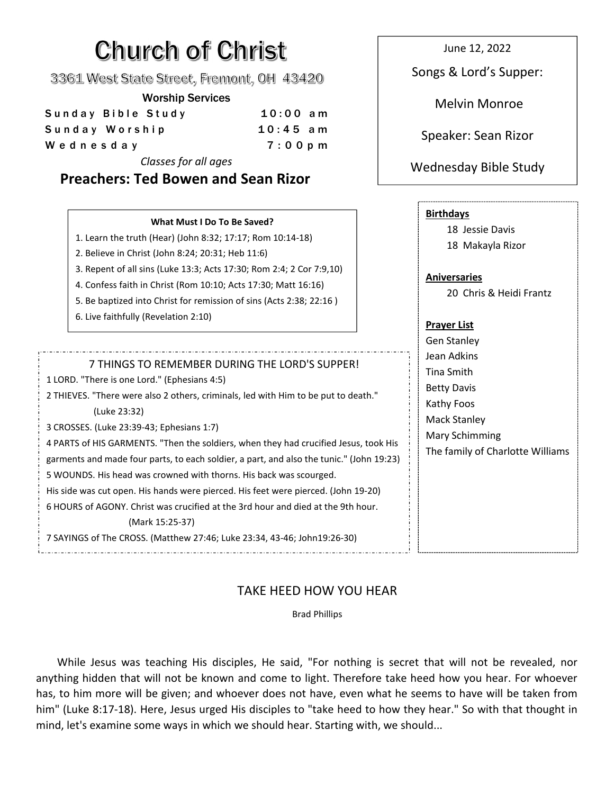# **Church of Christ**

3361 West State Street, Fremont, OH 43420

### Worship Services

| Sunday Bible Study | $10:00$ am | .                   |
|--------------------|------------|---------------------|
| Sunday Worship     | $10:45$ am | Speaker: Sean Rizor |
| Wednesday          | $7:00$ p m |                     |
|                    |            |                     |

*Classes for all ages*

June 12, 2022

Songs & Lord's Supper:

Melvin Monroe

# Wednesday Bible Study

| <b>Preachers: Ted Bowen and Sean Rizor</b>                                                                                                                                                                                                                                                                                                                                                                                                                                                                                                                                                                                                                                                                                                                                           | <b><i>Redissional Divid Study</i></b>                                                                                                                 |
|--------------------------------------------------------------------------------------------------------------------------------------------------------------------------------------------------------------------------------------------------------------------------------------------------------------------------------------------------------------------------------------------------------------------------------------------------------------------------------------------------------------------------------------------------------------------------------------------------------------------------------------------------------------------------------------------------------------------------------------------------------------------------------------|-------------------------------------------------------------------------------------------------------------------------------------------------------|
| What Must I Do To Be Saved?<br>1. Learn the truth (Hear) (John 8:32; 17:17; Rom 10:14-18)<br>2. Believe in Christ (John 8:24; 20:31; Heb 11:6)<br>3. Repent of all sins (Luke 13:3; Acts 17:30; Rom 2:4; 2 Cor 7:9,10)<br>4. Confess faith in Christ (Rom 10:10; Acts 17:30; Matt 16:16)<br>5. Be baptized into Christ for remission of sins (Acts 2:38; 22:16)<br>6. Live faithfully (Revelation 2:10)                                                                                                                                                                                                                                                                                                                                                                              | <b>Birthdays</b><br>18 Jessie Davis<br>18 Makayla Rizor<br><b>Aniversaries</b><br>20 Chris & Heidi Frantz<br><b>Prayer List</b><br><b>Gen Stanley</b> |
| 7 THINGS TO REMEMBER DURING THE LORD'S SUPPER!<br>1 LORD. "There is one Lord." (Ephesians 4:5)<br>2 THIEVES. "There were also 2 others, criminals, led with Him to be put to death."<br>(Luke 23:32)<br>3 CROSSES. (Luke 23:39-43; Ephesians 1:7)<br>4 PARTS of HIS GARMENTS. "Then the soldiers, when they had crucified Jesus, took His<br>garments and made four parts, to each soldier, a part, and also the tunic." (John 19:23)<br>5 WOUNDS. His head was crowned with thorns. His back was scourged.<br>His side was cut open. His hands were pierced. His feet were pierced. (John 19-20)<br>6 HOURS of AGONY, Christ was crucified at the 3rd hour and died at the 9th hour.<br>(Mark 15:25-37)<br>7 SAYINGS of The CROSS. (Matthew 27:46; Luke 23:34, 43-46; John19:26-30) | Jean Adkins<br>Tina Smith<br><b>Betty Davis</b><br>Kathy Foos<br><b>Mack Stanley</b><br>Mary Schimming<br>The family of Charlotte Williams            |

# TAKE HEED HOW YOU HEAR

Brad Phillips

While Jesus was teaching His disciples, He said, "For nothing is secret that will not be revealed, nor anything hidden that will not be known and come to light. Therefore take heed how you hear. For whoever has, to him more will be given; and whoever does not have, even what he seems to have will be taken from him" (Luke 8:17-18). Here, Jesus urged His disciples to "take heed to how they hear." So with that thought in mind, let's examine some ways in which we should hear. Starting with, we should...